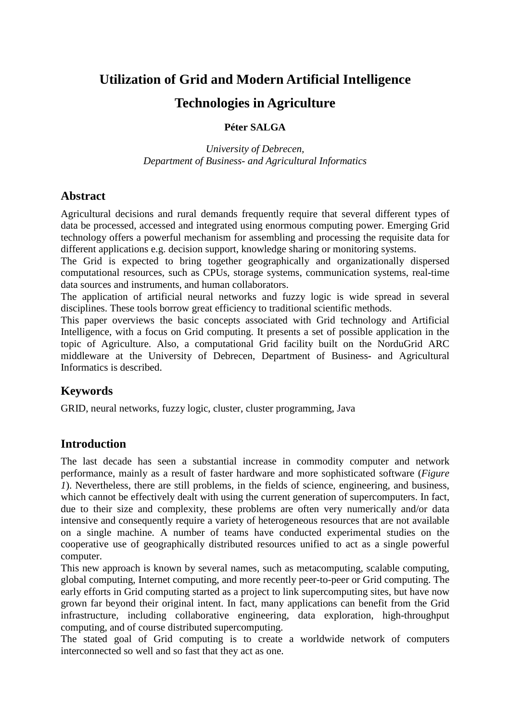# **Utilization of Grid and Modern Artificial Intelligence**

## **Technologies in Agriculture**

#### **Péter SALGA**

*University of Debrecen, Department of Business- and Agricultural Informatics* 

#### **Abstract**

Agricultural decisions and rural demands frequently require that several different types of data be processed, accessed and integrated using enormous computing power. Emerging Grid technology offers a powerful mechanism for assembling and processing the requisite data for different applications e.g. decision support, knowledge sharing or monitoring systems.

The Grid is expected to bring together geographically and organizationally dispersed computational resources, such as CPUs, storage systems, communication systems, real-time data sources and instruments, and human collaborators.

The application of artificial neural networks and fuzzy logic is wide spread in several disciplines. These tools borrow great efficiency to traditional scientific methods.

This paper overviews the basic concepts associated with Grid technology and Artificial Intelligence, with a focus on Grid computing. It presents a set of possible application in the topic of Agriculture. Also, a computational Grid facility built on the NorduGrid ARC middleware at the University of Debrecen, Department of Business- and Agricultural Informatics is described.

## **Keywords**

GRID, neural networks, fuzzy logic, cluster, cluster programming, Java

## **Introduction**

The last decade has seen a substantial increase in commodity computer and network performance, mainly as a result of faster hardware and more sophisticated software (*Figure 1*). Nevertheless, there are still problems, in the fields of science, engineering, and business, which cannot be effectively dealt with using the current generation of supercomputers. In fact, due to their size and complexity, these problems are often very numerically and/or data intensive and consequently require a variety of heterogeneous resources that are not available on a single machine. A number of teams have conducted experimental studies on the cooperative use of geographically distributed resources unified to act as a single powerful computer.

This new approach is known by several names, such as metacomputing, scalable computing, global computing, Internet computing, and more recently peer-to-peer or Grid computing. The early efforts in Grid computing started as a project to link supercomputing sites, but have now grown far beyond their original intent. In fact, many applications can benefit from the Grid infrastructure, including collaborative engineering, data exploration, high-throughput computing, and of course distributed supercomputing.

The stated goal of Grid computing is to create a worldwide network of computers interconnected so well and so fast that they act as one.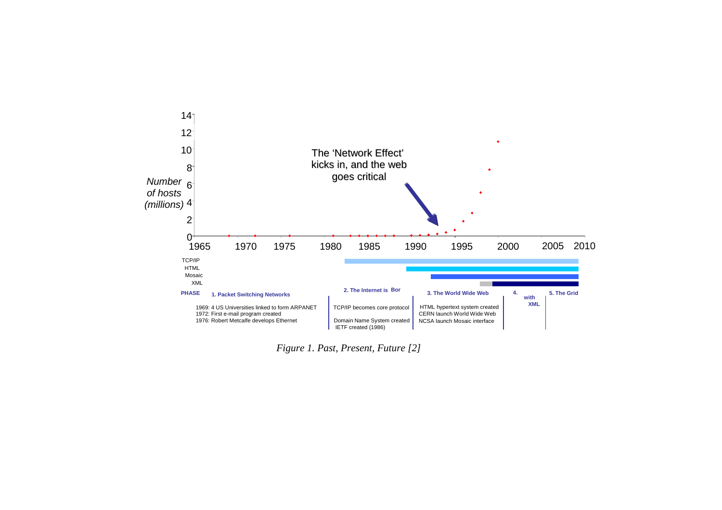

*Figure 1. Past, Present, Future [2]*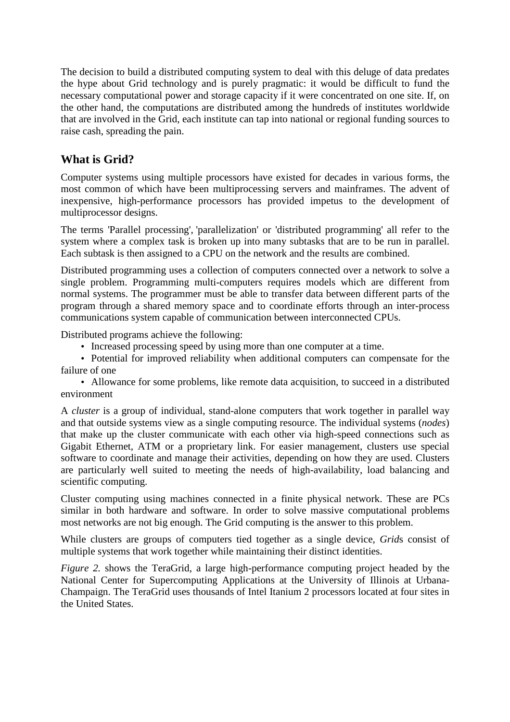The decision to build a distributed computing system to deal with this deluge of data predates the hype about Grid technology and is purely pragmatic: it would be difficult to fund the necessary computational power and storage capacity if it were concentrated on one site. If, on the other hand, the computations are distributed among the hundreds of institutes worldwide that are involved in the Grid, each institute can tap into national or regional funding sources to raise cash, spreading the pain.

## **What is Grid?**

Computer systems using multiple processors have existed for decades in various forms, the most common of which have been multiprocessing servers and mainframes. The advent of inexpensive, high-performance processors has provided impetus to the development of multiprocessor designs.

The terms 'Parallel processing', 'parallelization' or 'distributed programming' all refer to the system where a complex task is broken up into many subtasks that are to be run in parallel. Each subtask is then assigned to a CPU on the network and the results are combined.

Distributed programming uses a collection of computers connected over a network to solve a single problem. Programming multi-computers requires models which are different from normal systems. The programmer must be able to transfer data between different parts of the program through a shared memory space and to coordinate efforts through an inter-process communications system capable of communication between interconnected CPUs.

Distributed programs achieve the following:

• Increased processing speed by using more than one computer at a time.

• Potential for improved reliability when additional computers can compensate for the failure of one

• Allowance for some problems, like remote data acquisition, to succeed in a distributed environment

A *cluster* is a group of individual, stand-alone computers that work together in parallel way and that outside systems view as a single computing resource. The individual systems (*nodes*) that make up the cluster communicate with each other via high-speed connections such as Gigabit Ethernet, ATM or a proprietary link. For easier management, clusters use special software to coordinate and manage their activities, depending on how they are used. Clusters are particularly well suited to meeting the needs of high-availability, load balancing and scientific computing.

Cluster computing using machines connected in a finite physical network. These are PCs similar in both hardware and software. In order to solve massive computational problems most networks are not big enough. The Grid computing is the answer to this problem.

While clusters are groups of computers tied together as a single device, *Grid*s consist of multiple systems that work together while maintaining their distinct identities.

*Figure 2.* shows the TeraGrid, a large high-performance computing project headed by the National Center for Supercomputing Applications at the University of Illinois at Urbana-Champaign. The TeraGrid uses thousands of Intel Itanium 2 processors located at four sites in the United States.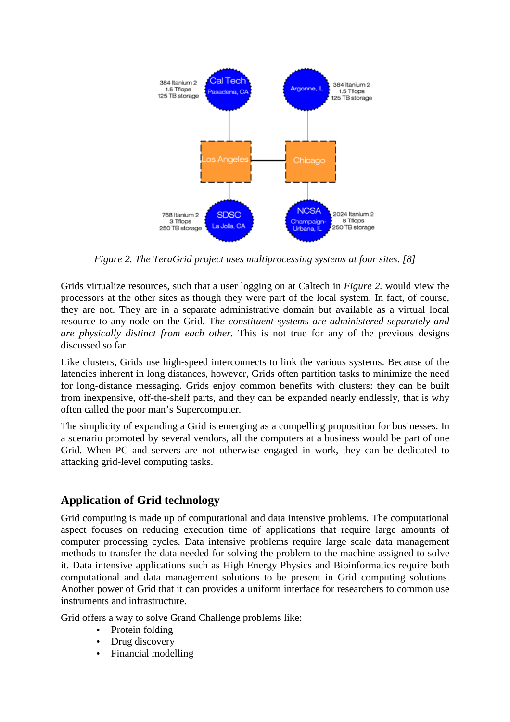

*Figure 2. The TeraGrid project uses multiprocessing systems at four sites. [8]* 

Grids virtualize resources, such that a user logging on at Caltech in *Figure 2.* would view the processors at the other sites as though they were part of the local system. In fact, of course, they are not. They are in a separate administrative domain but available as a virtual local resource to any node on the Grid. T*he constituent systems are administered separately and are physically distinct from each other.* This is not true for any of the previous designs discussed so far.

Like clusters, Grids use high-speed interconnects to link the various systems. Because of the latencies inherent in long distances, however, Grids often partition tasks to minimize the need for long-distance messaging. Grids enjoy common benefits with clusters: they can be built from inexpensive, off-the-shelf parts, and they can be expanded nearly endlessly, that is why often called the poor man's Supercomputer.

The simplicity of expanding a Grid is emerging as a compelling proposition for businesses. In a scenario promoted by several vendors, all the computers at a business would be part of one Grid. When PC and servers are not otherwise engaged in work, they can be dedicated to attacking grid-level computing tasks.

## **Application of Grid technology**

Grid computing is made up of computational and data intensive problems. The computational aspect focuses on reducing execution time of applications that require large amounts of computer processing cycles. Data intensive problems require large scale data management methods to transfer the data needed for solving the problem to the machine assigned to solve it. Data intensive applications such as High Energy Physics and Bioinformatics require both computational and data management solutions to be present in Grid computing solutions. Another power of Grid that it can provides a uniform interface for researchers to common use instruments and infrastructure.

Grid offers a way to solve Grand Challenge problems like:

- Protein folding
- Drug discovery
- Financial modelling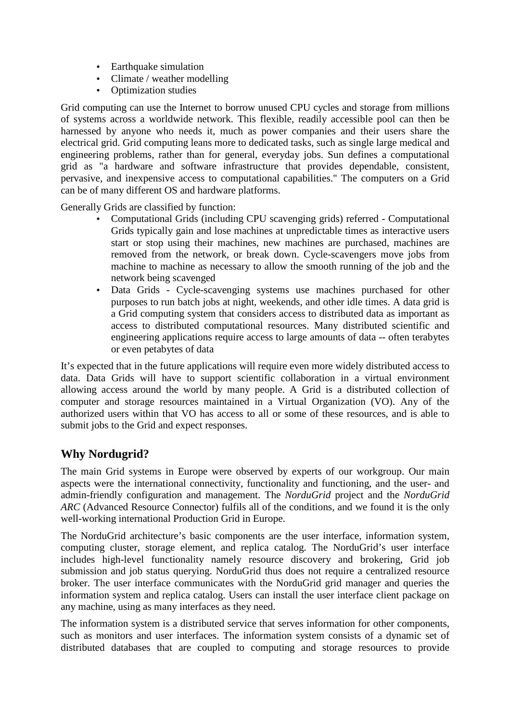- Earthquake simulation
- Climate / weather modelling
- Optimization studies

Grid computing can use the Internet to borrow unused CPU cycles and storage from millions of systems across a worldwide network. This flexible, readily accessible pool can then be harnessed by anyone who needs it, much as power companies and their users share the electrical grid. Grid computing leans more to dedicated tasks, such as single large medical and engineering problems, rather than for general, everyday jobs. Sun defines a computational grid as "a hardware and software infrastructure that provides dependable, consistent, pervasive, and inexpensive access to computational capabilities." The computers on a Grid can be of many different OS and hardware platforms.

Generally Grids are classified by function:

- Computational Grids (including CPU scavenging grids) referred Computational Grids typically gain and lose machines at unpredictable times as interactive users start or stop using their machines, new machines are purchased, machines are removed from the network, or break down. Cycle-scavengers move jobs from machine to machine as necessary to allow the smooth running of the job and the network being scavenged
- Data Grids Cycle-scavenging systems use machines purchased for other purposes to run batch jobs at night, weekends, and other idle times. A data grid is a Grid computing system that considers access to distributed data as important as access to distributed computational resources. Many distributed scientific and engineering applications require access to large amounts of data -- often terabytes or even petabytes of data

It's expected that in the future applications will require even more widely distributed access to data. Data Grids will have to support scientific collaboration in a virtual environment allowing access around the world by many people. A Grid is a distributed collection of computer and storage resources maintained in a Virtual Organization (VO). Any of the authorized users within that VO has access to all or some of these resources, and is able to submit jobs to the Grid and expect responses.

## **Why Nordugrid?**

The main Grid systems in Europe were observed by experts of our workgroup. Our main aspects were the international connectivity, functionality and functioning, and the user- and admin-friendly configuration and management. The *NorduGrid* project and the *NorduGrid*  ARC (Advanced Resource Connector) fulfils all of the conditions, and we found it is the only well-working international Production Grid in Europe.

The NorduGrid architecture's basic components are the user interface, information system, computing cluster, storage element, and replica catalog. The NorduGrid's user interface includes high-level functionality namely resource discovery and brokering, Grid job submission and job status querying. NorduGrid thus does not require a centralized resource broker. The user interface communicates with the NorduGrid grid manager and queries the information system and replica catalog. Users can install the user interface client package on any machine, using as many interfaces as they need.

The information system is a distributed service that serves information for other components, such as monitors and user interfaces. The information system consists of a dynamic set of distributed databases that are coupled to computing and storage resources to provide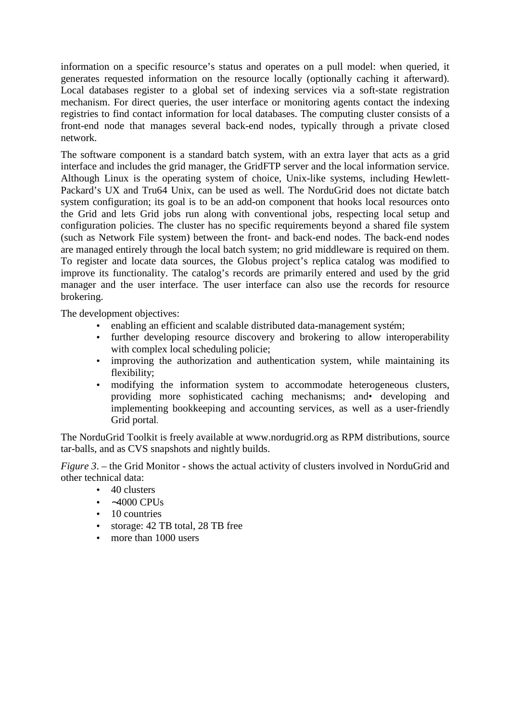information on a specific resource's status and operates on a pull model: when queried, it generates requested information on the resource locally (optionally caching it afterward). Local databases register to a global set of indexing services via a soft-state registration mechanism. For direct queries, the user interface or monitoring agents contact the indexing registries to find contact information for local databases. The computing cluster consists of a front-end node that manages several back-end nodes, typically through a private closed network.

The software component is a standard batch system, with an extra layer that acts as a grid interface and includes the grid manager, the GridFTP server and the local information service. Although Linux is the operating system of choice, Unix-like systems, including Hewlett-Packard's UX and Tru64 Unix, can be used as well. The NorduGrid does not dictate batch system configuration; its goal is to be an add-on component that hooks local resources onto the Grid and lets Grid jobs run along with conventional jobs, respecting local setup and configuration policies. The cluster has no specific requirements beyond a shared file system (such as Network File system) between the front- and back-end nodes. The back-end nodes are managed entirely through the local batch system; no grid middleware is required on them. To register and locate data sources, the Globus project's replica catalog was modified to improve its functionality. The catalog's records are primarily entered and used by the grid manager and the user interface. The user interface can also use the records for resource brokering.

The development objectives:

- enabling an efficient and scalable distributed data-management systém;
- further developing resource discovery and brokering to allow interoperability with complex local scheduling policie;
- improving the authorization and authoritication system, while maintaining its flexibility;
- modifying the information system to accommodate heterogeneous clusters, providing more sophisticated caching mechanisms; and• developing and implementing bookkeeping and accounting services, as well as a user-friendly Grid portal.

The NorduGrid Toolkit is freely available at www.nordugrid.org as RPM distributions, source tar-balls, and as CVS snapshots and nightly builds.

*Figure 3*. – the Grid Monitor - shows the actual activity of clusters involved in NorduGrid and other technical data:

- 40 clusters
- ∼4000 CPUs
- 10 countries
- storage: 42 TB total, 28 TB free
- more than 1000 users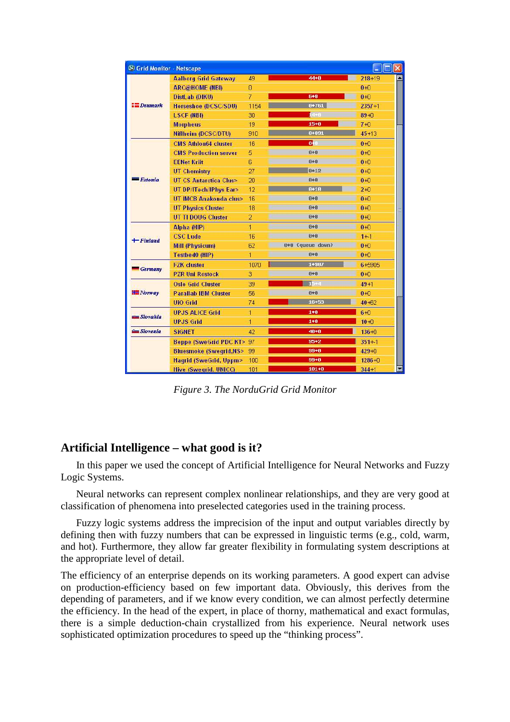| S Grid Monitor - Netscape |                                   |                |                  | Ξ          |
|---------------------------|-----------------------------------|----------------|------------------|------------|
| Denmark                   | <b>Aalborg Grid Gateway</b>       | 49             | $44 + 0$         | $218 + 19$ |
|                           | <b>ARC@HOME (NBI)</b>             | $\Omega$       |                  | $0+0$      |
|                           | DistLab (DIKU)                    | $\overline{7}$ | $6 + 8$          | $0+0$      |
|                           | Horseshoe (DCSC/SDU)              | 1154           | $0 + 761$        | $2357+1$   |
|                           | <b>LSCF (NBI)</b>                 | 30             | 信+8              | $89 + 0$   |
|                           | <b>Morpheus</b>                   | 19             | $15 + 0$         | $7 + 0$    |
|                           | Niflheim (DCSC/DTU)               | 910            | $8 + 891$        | $45 + 13$  |
| <b>Estonia</b>            | <b>CMS Athlon64 cluster</b>       | 16             | $8 + 0$          | $0+0$      |
|                           | <b>CMS Production server</b>      | 5              | $0 + 0$          | $0+0$      |
|                           | <b>EENet Kriit</b>                | $\overline{6}$ | $0 + 0$          | $0+0$      |
|                           | <b>UT Chemistry</b>               | 27             | $8 + 12$         | $0+0$      |
|                           | <b>UT CS Antarctica Clus&gt;</b>  | 20             | $0 + 0$          | $0+0$      |
|                           | UT DP/ITech/IPhys Ear>            | 12             | $8 + 18$         | $2+0$      |
|                           | UT IMCB Anakonda clus>            | 16             | $0 + 0$          | $0+0$      |
|                           | <b>UT Physics Cluster</b>         | 18             | $9+9$            | $0+0$      |
|                           | <b>UT TI DOUG Cluster</b>         | $\overline{2}$ | $8 + 8$          | $0 + 0$    |
| $\text{[-} \quad$ Finland | Alpha (HIP)                       | 1              | $8 + 8$          | $0+0$      |
|                           | <b>CSC Lude</b>                   | 16             | $0 + 0$          | $1 + 1$    |
|                           | <b>Mill (Physicum)</b>            | 62             | 8+8 (queue down) | $0+0$      |
|                           | Testbed0 (HIP)                    | 1              | $0 + 0$          | $0+0$      |
| <b>Germany</b>            | <b>FZK</b> cluster                | 1070           | 1+987            | 6+5905     |
|                           | <b>PZR Uni Rostock</b>            | 3              | $0 + 0$          | $0+0$      |
| <b>HE</b> Norway          | <b>Oslo Grid Cluster</b>          | 39             | $15 -$           | $49 + 1$   |
|                           | <b>Parallab IBM Cluster</b>       | 56             | $0 + 0$          | $0+0$      |
|                           | <b>UiO</b> Grid                   | 74             | 16+53            | $40 + 62$  |
| <b>Slovakia</b>           | <b>UPJS ALICE Grid</b>            | 1              | $1 + 0$          | $6+0$      |
|                           | <b>UPJS Grid</b>                  | 1              | $1 + 0$          | $10 + 0$   |
| <b>Covenia</b>            | <b>SiGNET</b>                     | 42             | $40 + 0$         | $136 + 0$  |
|                           | <b>Beppe (SweGrid PDC KT&gt;</b>  | 97             | $95 + 2$         | $351 + 1$  |
|                           | <b>Bluesmoke (Swegrid, NS&gt;</b> | 99             | $99 + 0$         | 429+0      |
|                           | <b>Hagrid (SweGrid, Uppm&gt;</b>  | 100            | $99 + 0$         | $1286 + 0$ |
|                           | <b>Hive (Swegrid, UNICC)</b>      | 101            | $101 + 0$        | $344 + 1$  |

*Figure 3. The NorduGrid Grid Monitor* 

## **Artificial Intelligence – what good is it?**

In this paper we used the concept of Artificial Intelligence for Neural Networks and Fuzzy Logic Systems.

 Neural networks can represent complex nonlinear relationships, and they are very good at classification of phenomena into preselected categories used in the training process.

 Fuzzy logic systems address the imprecision of the input and output variables directly by defining then with fuzzy numbers that can be expressed in linguistic terms (e.g., cold, warm, and hot). Furthermore, they allow far greater flexibility in formulating system descriptions at the appropriate level of detail.

The efficiency of an enterprise depends on its working parameters. A good expert can advise on production-efficiency based on few important data. Obviously, this derives from the depending of parameters, and if we know every condition, we can almost perfectly determine the efficiency. In the head of the expert, in place of thorny, mathematical and exact formulas, there is a simple deduction-chain crystallized from his experience. Neural network uses sophisticated optimization procedures to speed up the "thinking process".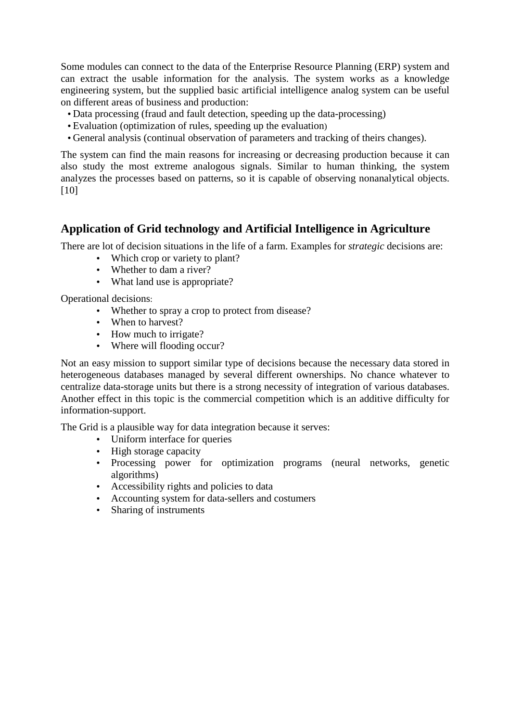Some modules can connect to the data of the Enterprise Resource Planning (ERP) system and can extract the usable information for the analysis. The system works as a knowledge engineering system, but the supplied basic artificial intelligence analog system can be useful on different areas of business and production:

- Data processing (fraud and fault detection, speeding up the data-processing)
- Evaluation (optimization of rules, speeding up the evaluation)
- General analysis (continual observation of parameters and tracking of theirs changes).

The system can find the main reasons for increasing or decreasing production because it can also study the most extreme analogous signals. Similar to human thinking, the system analyzes the processes based on patterns, so it is capable of observing nonanalytical objects. [10]

## **Application of Grid technology and Artificial Intelligence in Agriculture**

There are lot of decision situations in the life of a farm. Examples for *strategic* decisions are:

- Which crop or variety to plant?
- Whether to dam a river?
- What land use is appropriate?

Operational decisions:

- Whether to spray a crop to protect from disease?
- When to harvest?
- How much to irrigate?
- Where will flooding occur?

Not an easy mission to support similar type of decisions because the necessary data stored in heterogeneous databases managed by several different ownerships. No chance whatever to centralize data-storage units but there is a strong necessity of integration of various databases. Another effect in this topic is the commercial competition which is an additive difficulty for information-support.

The Grid is a plausible way for data integration because it serves:

- Uniform interface for queries
- High storage capacity
- Processing power for optimization programs (neural networks, genetic algorithms)
- Accessibility rights and policies to data
- Accounting system for data-sellers and costumers
- Sharing of instruments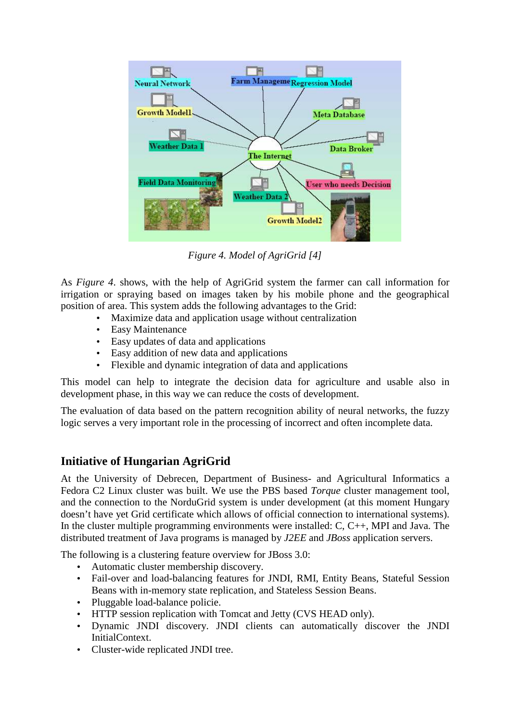

*Figure 4. Model of AgriGrid [4]* 

As *Figure 4*. shows, with the help of AgriGrid system the farmer can call information for irrigation or spraying based on images taken by his mobile phone and the geographical position of area. This system adds the following advantages to the Grid:

- Maximize data and application usage without centralization
- **Easy Maintenance**
- Easy updates of data and applications
- Easy addition of new data and applications
- Flexible and dynamic integration of data and applications

This model can help to integrate the decision data for agriculture and usable also in development phase, in this way we can reduce the costs of development.

The evaluation of data based on the pattern recognition ability of neural networks, the fuzzy logic serves a very important role in the processing of incorrect and often incomplete data.

## **Initiative of Hungarian AgriGrid**

At the University of Debrecen, Department of Business- and Agricultural Informatics a Fedora C2 Linux cluster was built. We use the PBS based *Torque* cluster management tool, and the connection to the NorduGrid system is under development (at this moment Hungary doesn't have yet Grid certificate which allows of official connection to international systems). In the cluster multiple programming environments were installed: C, C++, MPI and Java. The distributed treatment of Java programs is managed by *J2EE* and *JBoss* application servers.

The following is a clustering feature overview for JBoss 3.0:

- Automatic cluster membership discovery.
- Fail-over and load-balancing features for JNDI, RMI, Entity Beans, Stateful Session Beans with in-memory state replication, and Stateless Session Beans.
- Pluggable load-balance policie.
- HTTP session replication with Tomcat and Jetty (CVS HEAD only).
- Dynamic JNDI discovery. JNDI clients can automatically discover the JNDI InitialContext.
- Cluster-wide replicated JNDI tree.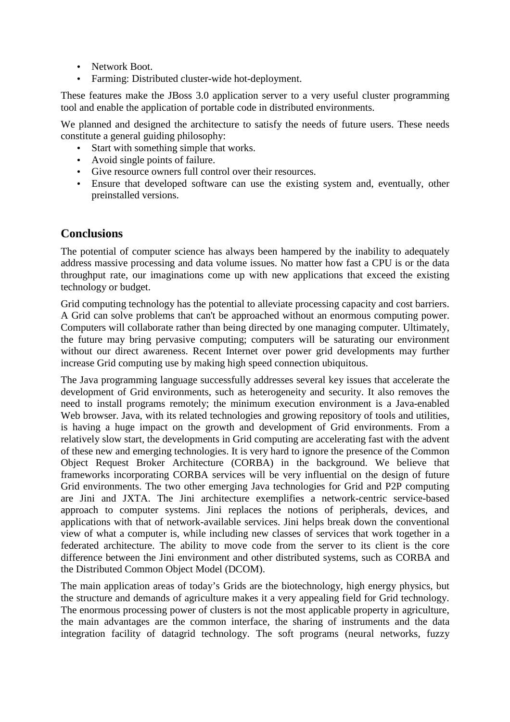- Network Boot.
- Farming: Distributed cluster-wide hot-deployment.

These features make the JBoss 3.0 application server to a very useful cluster programming tool and enable the application of portable code in distributed environments.

We planned and designed the architecture to satisfy the needs of future users. These needs constitute a general guiding philosophy:

- Start with something simple that works.
- Avoid single points of failure.
- Give resource owners full control over their resources.
- Ensure that developed software can use the existing system and, eventually, other preinstalled versions.

#### **Conclusions**

The potential of computer science has always been hampered by the inability to adequately address massive processing and data volume issues. No matter how fast a CPU is or the data throughput rate, our imaginations come up with new applications that exceed the existing technology or budget.

Grid computing technology has the potential to alleviate processing capacity and cost barriers. A Grid can solve problems that can't be approached without an enormous computing power. Computers will collaborate rather than being directed by one managing computer. Ultimately, the future may bring pervasive computing; computers will be saturating our environment without our direct awareness. Recent Internet over power grid developments may further increase Grid computing use by making high speed connection ubiquitous.

The Java programming language successfully addresses several key issues that accelerate the development of Grid environments, such as heterogeneity and security. It also removes the need to install programs remotely; the minimum execution environment is a Java-enabled Web browser. Java, with its related technologies and growing repository of tools and utilities, is having a huge impact on the growth and development of Grid environments. From a relatively slow start, the developments in Grid computing are accelerating fast with the advent of these new and emerging technologies. It is very hard to ignore the presence of the Common Object Request Broker Architecture (CORBA) in the background. We believe that frameworks incorporating CORBA services will be very influential on the design of future Grid environments. The two other emerging Java technologies for Grid and P2P computing are Jini and JXTA. The Jini architecture exemplifies a network-centric service-based approach to computer systems. Jini replaces the notions of peripherals, devices, and applications with that of network-available services. Jini helps break down the conventional view of what a computer is, while including new classes of services that work together in a federated architecture. The ability to move code from the server to its client is the core difference between the Jini environment and other distributed systems, such as CORBA and the Distributed Common Object Model (DCOM).

The main application areas of today's Grids are the biotechnology, high energy physics, but the structure and demands of agriculture makes it a very appealing field for Grid technology. The enormous processing power of clusters is not the most applicable property in agriculture, the main advantages are the common interface, the sharing of instruments and the data integration facility of datagrid technology. The soft programs (neural networks, fuzzy